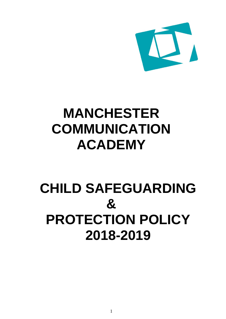

# **MANCHESTER COMMUNICATION ACADEMY**

# **CHILD SAFEGUARDING & PROTECTION POLICY 2018-2019**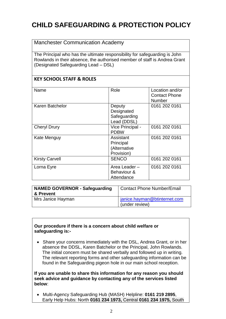# **CHILD SAFEGUARDING & PROTECTION POLICY**

### Manchester Communication Academy

The Principal who has the ultimate responsibility for safeguarding is John Rowlands in their absence, the authorised member of staff is Andrea Grant (Designated Safeguarding Lead – DSL)

### **KEY SCHOOL STAFF & ROLES**

| Name                  | Role                                                 | Location and/or<br><b>Contact Phone</b><br>Number |
|-----------------------|------------------------------------------------------|---------------------------------------------------|
| Karen Batchelor       | Deputy<br>Designated<br>Safeguarding<br>Lead (DDSL)  | 0161 202 0161                                     |
| <b>Cheryl Drury</b>   | Vice Principal -<br><b>PDBW</b>                      | 0161 202 0161                                     |
| Kate Menguy           | Assistant<br>Principal<br>(Alternative<br>Provision) | 0161 202 0161                                     |
| <b>Kirsty Carvell</b> | <b>SENCO</b>                                         | 0161 202 0161                                     |
| Lorna Eyre            | Area Leader -<br>Behaviour &<br>Attendance           | 0161 202 0161                                     |

| <b>NAMED GOVERNOR - Safeguarding</b> | <b>Contact Phone Number/Email</b> |
|--------------------------------------|-----------------------------------|
| ∣ & Prevent                          |                                   |
| Mrs Janice Hayman                    | janice.hayman@btinternet.com      |
|                                      | (under review)                    |

#### **Our procedure if there is a concern about child welfare or safeguarding is:-**

• Share your concerns immediately with the DSL, Andrea Grant, or in her absence the DDSL, Karen Batchelor or the Principal, John Rowlands. The initial concern must be shared verbally and followed up in writing. The relevant reporting forms and other safeguarding information can be found in the Safeguarding pigeon hole in our main school reception.

#### **If you are unable to share this information for any reason you should seek advice and guidance by contacting any of the services listed below**:

 Multi-Agency Safeguarding Hub (MASH) Helpline: **0161 219 2895**, Early Help Hubs: North **0161 234 1973,** Central **0161 234 1975,** South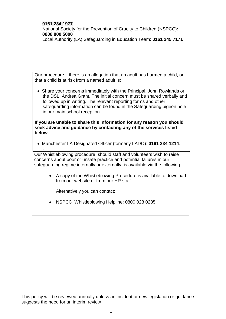#### **0161 234 1977**

.

National Society for the Prevention of Cruelty to Children (NSPCC)**: 0808 800 5000**

Local Authority (LA) Safeguarding in Education Team: **0161 245 7171**

Our procedure if there is an allegation that an adult has harmed a child, or that a child is at risk from a named adult is;

• Share your concerns immediately with the Principal, John Rowlands or the DSL, Andrea Grant. The initial concern must be shared verbally and followed up in writing. The relevant reporting forms and other safeguarding information can be found in the Safeguarding pigeon hole in our main school reception

**If you are unable to share this information for any reason you should seek advice and guidance by contacting any of the services listed below**:

Manchester LA Designated Officer (formerly LADO): **0161 234 1214**.

Our Whistleblowing procedure, should staff and volunteers wish to raise concerns about poor or unsafe practice and potential failures in our safeguarding regime internally or externally, is available via the following:

> A copy of the Whistleblowing Procedure is available to download from our website or from our HR staff

Alternatively you can contact:

• NSPCC Whistleblowing Helpline: 0800 028 0285.

This policy will be reviewed annually unless an incident or new legislation or guidance suggests the need for an interim review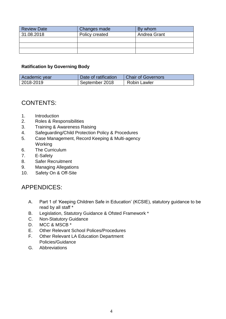| <b>Review Date</b> | Changes made   | By whom             |
|--------------------|----------------|---------------------|
| 31.08.2018         | Policy created | <b>Andrea Grant</b> |
|                    |                |                     |
|                    |                |                     |
|                    |                |                     |

#### **Ratification by Governing Body**

| Academic year | Date of ratification | <b>Chair of Governors</b> |
|---------------|----------------------|---------------------------|
| 2018-2019     | September 2018       | Robin Lawler              |

### CONTENTS:

- 1. Introduction
- 2. Roles & Responsibilities
- 3. Training & Awareness Raising
- 4. Safeguarding/Child Protection Policy & Procedures
- 5. Case Management, Record Keeping & Multi-agency Working
- 6. The Curriculum
- 7. E-Safety
- 8. Safer Recruitment
- 9. Managing Allegations
- 10. Safety On & Off-Site

### APPENDICES:

- A. Part 1 of 'Keeping Children Safe in Education' (KCSIE), statutory guidance to be read by all staff \*
- B. Legislation, Statutory Guidance & Ofsted Framework \*
- C. Non-Statutory Guidance
- D. MCC & MSCB \*
- E. Other Relevant School Polices/Procedures
- F. Other Relevant LA Education Department Policies/Guidance
- G. Abbreviations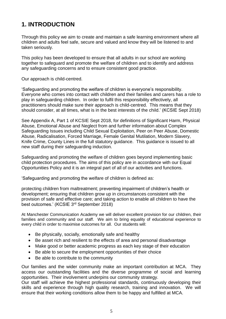# **1. INTRODUCTION**

Through this policy we aim to create and maintain a safe learning environment where all children and adults feel safe, secure and valued and know they will be listened to and taken seriously.

This policy has been developed to ensure that all adults in our school are working together to safeguard and promote the welfare of children and to identify and address any safeguarding concerns and to ensure consistent good practice.

Our approach is child-centred.

'Safeguarding and promoting the welfare of children is everyone's responsibility. Everyone who comes into contact with children and their families and carers has a role to play in safeguarding children. In order to fulfil this responsibility effectively, all practitioners should make sure their approach is child-centred. This means that they should consider, at all times, what is in the best interests of the child.' (KCSIE Sept 2018)

See Appendix A, Part 1 of KCSIE Sept 2018, for definitions of Significant Harm, Physical Abuse, Emotional Abuse and Neglect from and further information about Complex Safeguarding Issues including Child Sexual Exploitation, Peer on Peer Abuse, Domestic Abuse, Radicalisation, Forced Marriage, Female Genital Mutilation, Modern Slavery, Knife Crime, County Lines in the full statutory guidance. This guidance is issued to all new staff during their safeguarding induction.

Safeguarding and promoting the welfare of children goes beyond implementing basic child protection procedures. The aims of this policy are in accordance with our Equal Opportunities Policy and it is an integral part of all of our activities and functions.

'Safeguarding and promoting the welfare of children is defined as:

protecting children from maltreatment; preventing impairment of children's health or development; ensuring that children grow up in circumstances consistent with the provision of safe and effective care; and taking action to enable all children to have the best outcomes.' (KCSIE 3<sup>rd</sup> September 2018)

At Manchester Communication Academy we will deliver excellent provision for our children, their families and community and our staff. We aim to bring equality of educational experience to every child in order to maximise outcomes for all. Our students will:

- Be physically, socially, emotionally safe and healthy
- Be asset rich and resilient to the effects of area and personal disadvantage
- Make good or better academic progress as each key stage of their education
- Be able to secure the employment opportunities of their choice
- Be able to contribute to the community

Our families and the wider community make an important contribution at MCA. They access our outstanding facilities and the diverse programme of social and learning opportunities. Their involvement underpins our community strategy.

Our staff will achieve the highest professional standards, continuously developing their skills and experience through high quality research, training and innovation. We will ensure that their working conditions allow them to be happy and fulfilled at MCA.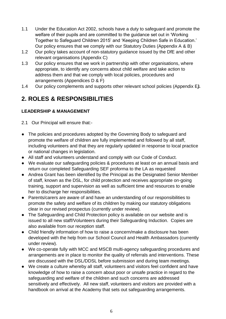- 1.1 Under the Education Act 2002, schools have a duty to safeguard and promote the welfare of their pupils and are committed to the guidance set out in 'Working Together to Safeguard Children 2015' and 'Keeping Children Safe in Education.' Our policy ensures that we comply with our Statutory Duties (Appendix A & B)
- 1.2 Our policy takes account of non-statutory guidance issued by the DfE and other relevant organisations (Appendix C)
- 1.3 Our policy ensures that we work in partnership with other organisations, where appropriate, to identify any concerns about child welfare and take action to address them and that we comply with local policies, procedures and arrangements (Appendices D & F)
- 1.4 Our policy complements and supports other relevant school policies (Appendix E*).*

# **2. ROLES & RESPONSIBILITIES**

### **LEADERSHIP & MANAGEMENT**

2.1 Our Principal will ensure that:-

- The policies and procedures adopted by the Governing Body to safeguard and promote the welfare of children are fully implemented and followed by all staff, including volunteers and that they are regularly updated in response to local practice or national changes in legislation.
- All staff and volunteers understand and comply with our Code of Conduct.
- We evaluate our safeguarding policies & procedures at least on an annual basis and return our completed Safeguarding SEF proforma to the LA as requested
- Andrea Grant has been identified by the Principal as the Designated Senior Member of staff, known as the DSL, for child protection and receives appropriate on-going training, support and supervision as well as sufficient time and resources to enable her to discharge her responsibilities.
- Parents/carers are aware of and have an understanding of our responsibilities to promote the safety and welfare of its children by making our statutory obligations clear in our revised prospectus (currently under review).
- The Safeguarding and Child Protection policy is available on our website and is issued to all new staff/Volunteers during their Safeguarding Induction. Copies are also available from our reception staff.
- Child friendly information of how to raise a concern/make a disclosure has been developed with the help from our School Council and Health Ambassadors (currently under review).
- We co-operate fully with MCC and MSCB multi-agency safeguarding procedures and arrangements are in place to monitor the quality of referrals and interventions. These are discussed with the DSL/DDSL before submission and during team meetings.
- We create a culture whereby all staff, volunteers and visitors feel confident and have knowledge of how to raise a concern about poor or unsafe practice in regard to the safeguarding and welfare of the children and such concerns are addressed sensitively and effectively. All new staff, volunteers and visitors are provided with a handbook on arrival at the Academy that sets out safeguarding arrangements.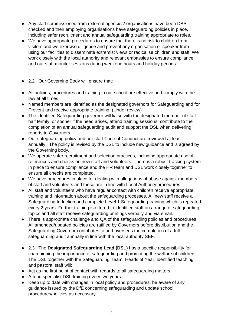- Any staff commissioned from external agencies/ organisations have been DBS checked and their employing organisations have safeguarding policies in place, including safer recruitment and annual safeguarding training appropriate to roles.
- We have appropriate procedures to ensure that there is no risk to children from visitors and we exercise diligence and prevent any organisation or speaker from using our facilities to disseminate extremist views or radicalise children and staff. We work closely with the local authority and relevant embassies to ensure compliance and our staff monitor sessions during weekend hours and holiday periods.
- 2.2 Our Governing Body will ensure that:
- All policies, procedures and training in our school are effective and comply with the law at all times.
- Named members are identified as the designated governors for Safeguarding and for Prevent and receive appropriate training. (Under review)
- The identified Safeguarding governor will liaise with the designated member of staff half termly, or sooner if the need arises, attend training sessions, contribute to the completion of an annual safeguarding audit and support the DSL when delivering reports to Governors.
- Our safeguarding policy and our staff Code of Conduct are reviewed at least annually. The policy is revised by the DSL to include new guidance and is agreed by the Governing body.
- We operate safer recruitment and selection practices, including appropriate use of references and checks on new staff and volunteers. There is a robust tracking system in place to ensure compliance and the HR team and DSL work closely together to ensure all checks are completed.
- We have procedures in place for dealing with allegations of abuse against members of staff and volunteers and these are in line with Local Authority procedures.
- All staff and volunteers who have regular contact with children receive appropriate training and information about the safeguarding processes. All new staff receive a Safeguarding Induction and complete Level 1 Safeguarding training which is repeated every 2 years. Further training is offered to identified staff on a range of safeguarding topics and all staff receive safeguarding briefings verbally and via email.
- There is appropriate challenge and QA of the safeguarding policies and procedures. All amended/updated policies are ratified by Governors before distribution and the Safeguarding Governor contributes to and oversees the completion of a full safeguarding audit annually in line with the local authority SEF.
- 2.3 The **Designated Safeguarding Lead (DSL)** has a specific responsibility for championing the importance of safeguarding and promoting the welfare of children. The DSL together with the Safeguarding Team, Heads of Year, identified teaching and pastoral staff will:
- Act as the first point of contact with regards to all safeguarding matters.
- Attend specialist DSL training every two years.
- Keep up to date with changes in local policy and procedures, be aware of any guidance issued by the DfE concerning safeguarding and update school procedures/policies as necessary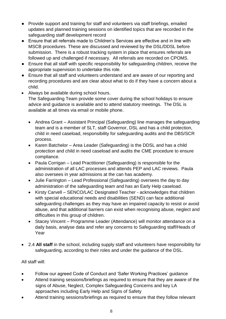- Provide support and training for staff and volunteers via staff briefings, emailed updates and planned training sessions on identified topics that are recorded in the safeguarding staff development record
- Ensure that all referrals made to Children's Services are effective and in line with MSCB procedures. These are discussed and reviewed by the DSL/DDSL before submission. There is a robust tracking system in place that ensures referrals are followed up and challenged if necessary. All referrals are recorded on CPOMS.
- Ensure that all staff with specific responsibility for safeguarding children, receive the appropriate supervision to undertake this role.
- Ensure that all staff and volunteers understand and are aware of our reporting and recording procedures and are clear about what to do if they have a concern about a child.
- Always be available during school hours. The Safeguarding Team provide some cover during the school holidays to ensure advice and guidance is available and to attend statutory meetings. The DSL is available at all times via email or mobile phone.
	- Andrea Grant Assistant Principal (Safeguarding) line manages the safeguarding team and is a member of SLT, staff Governor, DSL and has a child protection, child in need caseload, responsibility for safeguarding audits and the DBS/SCR process.
	- Karen Batchelor Area Leader (Safeguarding) is the DDSL and has a child protection and child in need caseload and audits the CME procedure to ensure compliance.
	- Paula Corrigan Lead Practitioner (Safeguarding) is responsible for the administration of all LAC processes and attends PEP and LAC reviews. Paula also oversees in year admissions at the can has academy.
	- Julie Farrington Lead Professional (Safeguarding) oversees the day to day administration of the safeguarding team and has an Early Help caseload.
	- Kirsty Carvell SENCO/LAC Designated Teacher acknowledges that children with special educational needs and disabilities (SEND) can face additional safeguarding challenges as they may have an impaired capacity to resist or avoid abuse, and that additional barriers can exist when recognising abuse, neglect and difficulties in this group of children.
	- Stacey Vincent Programme Leader (Attendance) will monitor attendance on a daily basis, analyse data and refer any concerns to Safeguarding staff/Heads of Year
- 2.4 **All staff** in the school, including supply staff and volunteers have responsibility for safeguarding, according to their roles and under the guidance of the DSL.

All staff will:

- Follow our agreed Code of Conduct and 'Safer Working Practices' guidance
- Attend training sessions/briefings as required to ensure that they are aware of the signs of Abuse, Neglect, Complex Safeguarding Concerns and key LA approaches including Early Help and Signs of Safety
- Attend training sessions/briefings as required to ensure that they follow relevant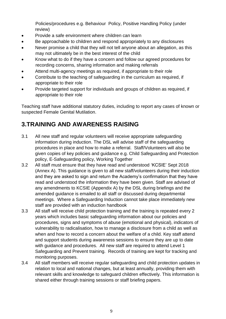Policies/procedures e.g. Behaviour Policy, Positive Handling Policy (under review)

- Provide a safe environment where children can learn
- Be approachable to children and respond appropriately to any disclosures
- Never promise a child that they will not tell anyone about an allegation, as this may not ultimately be in the best interest of the child
- Know what to do if they have a concern and follow our agreed procedures for recording concerns, sharing information and making referrals
- Attend multi-agency meetings as required, if appropriate to their role
- Contribute to the teaching of safeguarding in the curriculum as required, if appropriate to their role
- Provide targeted support for individuals and groups of children as required, if appropriate to their role

Teaching staff have additional statutory duties, including to report any cases of known or suspected Female Genital Mutilation.

# **3.TRAINING AND AWARENESS RAISING**

- 3.1 All new staff and regular volunteers will receive appropriate safeguarding information during induction. The DSL will advise staff of the safeguarding procedures in place and how to make a referral. Staff/Volunteers will also be given copies of key policies and guidance e.g. Child Safeguarding and Protection policy, E-Safeguarding policy, Working Together
- 3.2 All staff must ensure that they have read and understood 'KCSIE' Sept 2018 (Annex A). This guidance is given to all new staff/volunteers during their induction and they are asked to sign and return the Academy's confirmation that they have read and understood the information they have been given. Staff are advised of any amendments to KCSIE (Appendix A) by the DSL during briefings and the amended guidance is emailed to all staff or discussed during departmental meetings. Where a Safeguarding Induction cannot take place immediately new staff are provided with an induction handbook
- 3.3 All staff will receive child protection training and the training is repeated every 2 years which includes basic safeguarding information about our policies and procedures, signs and symptoms of abuse (emotional and physical), indicators of vulnerability to radicalisation, how to manage a disclosure from a child as well as when and how to record a concern about the welfare of a child. Key staff attend and support students during awareness sessions to ensure they are up to date with guidance and procedures. All new staff are required to attend Level 1 Safeguarding and Prevent training. Records of training are kept for tracking and monitoring purposes.
- 3.4 All staff members will receive regular safeguarding and child protection updates in relation to local and national changes, but at least annually, providing them with relevant skills and knowledge to safeguard children effectively. This information is shared either through training sessions or staff briefing papers.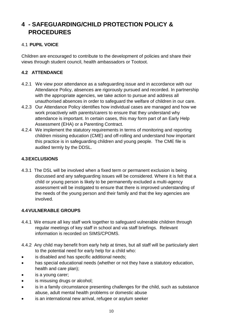# **4 - SAFEGUARDING/CHILD PROTECTION POLICY & PROCEDURES**

### 4.1 **PUPIL VOICE**

Children are encouraged to contribute to the development of policies and share their views through student council, health ambassadors or Tootoot.

### **4.2 ATTENDANCE**

- 4.2.1 We view poor attendance as a safeguarding issue and in accordance with our Attendance Policy, absences are rigorously pursued and recorded. In partnership with the appropriate agencies, we take action to pursue and address all unauthorised absences in order to safeguard the welfare of children in our care.
- 4.2.3 Our Attendance Policy identifies how individual cases are managed and how we work proactively with parents/carers to ensure that they understand why attendance is important. In certain cases, this may form part of an Early Help Assessment (EHA) or a Parenting Contract.
- 4.2.4 We implement the statutory requirements in terms of monitoring and reporting children missing education (CME) and off-rolling and understand how important this practice is in safeguarding children and young people. The CME file is audited termly by the DDSL.

#### **4.3EXCLUSIONS**

4.3.1 The DSL will be involved when a fixed term or permanent exclusion is being discussed and any safeguarding issues will be considered. Where it is felt that a child or young person is likely to be permanently excluded a multi-agency assessment will be instigated to ensure that there is improved understanding of the needs of the young person and their family and that the key agencies are involved.

#### **4.4VULNERABLE GROUPS**

- 4.4.1 We ensure all key staff work together to safeguard vulnerable children through regular meetings of key staff in school and via staff briefings. Relevant information is recorded on SIMS/CPOMS.
- 4.4.2 Any child may benefit from early help at times, but all staff will be particularly alert to the potential need for early help for a child who:
- is disabled and has specific additional needs;
- has special educational needs (whether or not they have a statutory education, health and care plan);
- is a young carer;
- is misusing drugs or alcohol;
- is in a family circumstance presenting challenges for the child, such as substance abuse, adult mental health problems or domestic abuse
- is an international new arrival, refugee or asylum seeker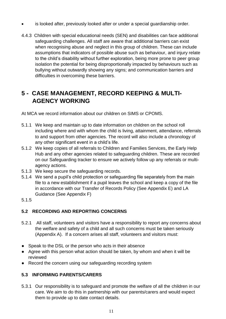- is looked after, previously looked after or under a special guardianship order.
- 4.4.3 Children with special educational needs (SEN) and disabilities can face additional safeguarding challenges. All staff are aware that additional barriers can exist when recognising abuse and neglect in this group of children. These can include assumptions that indicators of possible abuse such as behaviour, and injury relate to the child's disability without further exploration, being more prone to peer group isolation the potential for being disproportionally impacted by behaviours such as bullying without outwardly showing any signs; and communication barriers and difficulties in overcoming these barriers.

# **5 - CASE MANAGEMENT, RECORD KEEPING & MULTI-AGENCY WORKING**

At MCA we record information about our children on SIMS or CPOMS.

- 5.1.1 We keep and maintain up to date information on children on the school roll including where and with whom the child is living, attainment, attendance, referrals to and support from other agencies. The record will also include a chronology of any other significant event in a child's life.
- 5.1.2 We keep copies of all referrals to Children and Families Services, the Early Help Hub and any other agencies related to safeguarding children. These are recorded on our Safeguarding tracker to ensure we actively follow up any referrals or multiagency actions.
- 5.1.3 We keep secure the safeguarding records.
- 5.1.4 We send a pupil's child protection or safeguarding file separately from the main file to a new establishment if a pupil leaves the school and keep a copy of the file in accordance with our Transfer of Records Policy (See Appendix E) and LA Guidance (See Appendix F)
- 5.1.5

### **5.2 RECORDING AND REPORTING CONCERNS**

- 5.2.1 All staff, volunteers and visitors have a responsibility to report any concerns about the welfare and safety of a child and all such concerns must be taken seriously (Appendix A). If a concern arises all staff, volunteers and visitors must:
- Speak to the DSL or the person who acts in their absence
- Agree with this person what action should be taken, by whom and when it will be reviewed
- Record the concern using our safeguarding recording system

### **5.3 INFORMING PARENTS/CARERS**

5.3.1 Our responsibility is to safeguard and promote the welfare of all the children in our care. We aim to do this in partnership with our parents/carers and would expect them to provide up to date contact details.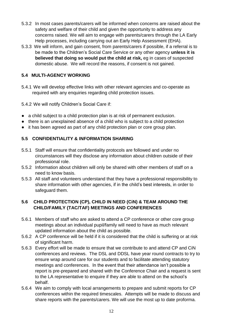- 5.3.2 In most cases parents/carers will be informed when concerns are raised about the safety and welfare of their child and given the opportunity to address any concerns raised. We will aim to engage with parents/carers through the LA Early Help processes, including carrying out an Early Help Assessment (EHA).
- 5.3.3 We will inform, and gain consent, from parents/carers if possible, if a referral is to be made to the Children's Social Care Service or any other agency **unless it is believed that doing so would put the child at risk,** eg in cases of suspected domestic abuse. We will record the reasons, if consent is not gained.

### **5.4 MULTI-AGENCY WORKING**

5.4.1 We will develop effective links with other relevant agencies and co-operate as required with any enquiries regarding child protection issues.

5.4.2 We will notify Children's Social Care if:

- a child subject to a child protection plan is at risk of permanent exclusion.
- there is an unexplained absence of a child who is subject to a child protection
- it has been agreed as part of any child protection plan or core group plan.

### **5.5 CONFIDENTIALITY & INFORMATION SHARING**

- 5.5.1 Staff will ensure that confidentiality protocols are followed and under no circumstances will they disclose any information about children outside of their professional role.
- 5.5.2 Information about children will only be shared with other members of staff on a need to know basis.
- 5.5.3 All staff and volunteers understand that they have a professional responsibility to share information with other agencies, if in the child's best interests, in order to safeguard them.

### **5.6 CHILD PROTECTION (CP), CHILD IN NEED (CiN) & TEAM AROUND THE CHILD/FAMILY (TAC/TAF) MEETINGS AND CONFERENCES**

- 5.6.1 Members of staff who are asked to attend a CP conference or other core group meetings about an individual pupil/family will need to have as much relevant updated information about the child as possible.
- 5.6.2 A CP conference will be held if it is considered that the child is suffering or at risk of significant harm.
- 5.6.3 Every effort will be made to ensure that we contribute to and attend CP and CiN conferences and reviews. The DSL and DDSL have year round contracts to try to ensure wrap around care for our students and to facilitate attending statutory meetings and conferences. In the event that their attendance isn't possible a report is pre-prepared and shared with the Conference Chair and a request is sent to the LA representative to enquire if they are able to attend on the school's behalf.
- 5.6.4 We aim to comply with local arrangements to prepare and submit reports for CP conferences within the required timescales. Attempts will be made to discuss and share reports with the parents/carers. We will use the most up to date proforma.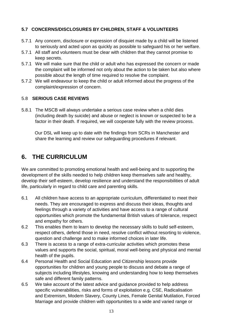#### **5.7 CONCERNS/DISCLOSURES BY CHILDREN, STAFF & VOLUNTEERS**

- 5.7.1 Any concern, disclosure or expression of disquiet made by a child will be listened to seriously and acted upon as quickly as possible to safeguard his or her welfare.
- 5.7.1 All staff and volunteers must be clear with children that they cannot promise to keep secrets.
- 5.7.1 We will make sure that the child or adult who has expressed the concern or made the complaint will be informed not only about the action to be taken but also where possible about the length of time required to resolve the complaint.
- 5.7.2 We will endeavour to keep the child or adult informed about the progress of the complaint/expression of concern.

#### 5.8 **SERIOUS CASE REVIEWS**

5.8.1 The MSCB will always undertake a serious case review when a child dies (including death by suicide) and abuse or neglect is known or suspected to be a factor in their death. If required, we will cooperate fully with the review process.

 Our DSL will keep up to date with the findings from SCRs in Manchester and share the learning and review our safeguarding procedures if relevant.

### **6. THE CURRICULUM**

We are committed to promoting emotional health and well-being and to supporting the development of the skills needed to help children keep themselves safe and healthy, develop their self-esteem, develop resilience and understand the responsibilities of adult life, particularly in regard to child care and parenting skills.

- 6.1 All children have access to an appropriate curriculum, differentiated to meet their needs. They are encouraged to express and discuss their ideas, thoughts and feelings through a variety of activities and have access to a range of cultural opportunities which promote the fundamental British values of tolerance, respect and empathy for others.
- 6.2 This enables them to learn to develop the necessary skills to build self-esteem, respect others, defend those in need, resolve conflict without resorting to violence, question and challenge and to make informed choices in later life.
- 6.3 There is access to a range of extra-curricular activities which promotes these values and supports the social, spiritual, moral well-being and physical and mental health of the pupils.
- 6.4 Personal Health and Social Education and Citizenship lessons provide opportunities for children and young people to discuss and debate a range of subjects including lifestyles, knowing and understanding how to keep themselves safe and different family patterns.
- 6.5 We take account of the latest advice and guidance provided to help address specific vulnerabilities, risks and forms of exploitation e.g. CSE, Radicalisation and Extremism, Modern Slavery, County Lines, Female Genital Mutilation, Forced Marriage and provide children with opportunities to a wide and varied range or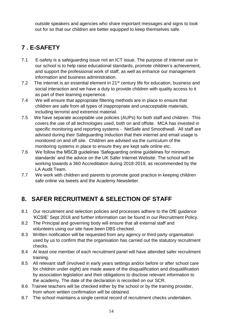outside speakers and agencies who share important messages and signs to look out for so that our children are better equipped to keep themselves safe.

# **7 . E-SAFETY**

- 7.1 E-safety is a safeguarding issue not an ICT issue. The purpose of Internet use in our school is to help raise educational standards, promote children's achievement, and support the professional work of staff, as well as enhance our management information and business administration.
- 7.2 The internet is an essential element in 21<sup>st</sup> century life for education, business and social interaction and we have a duty to provide children with quality access to it as part of their learning experience.
- 7.4 We will ensure that appropriate filtering methods are in place to ensure that children are safe from all types of inappropriate and unacceptable materials, including terrorist and extremist material.
- 7.5 We have separate acceptable use policies (AUPs) for both staff and children. This covers the use of all technologies used, both on and offsite. MCA has invested in specific monitoring and reporting systems - NetSafe and Smoothwall. All staff are advised during their Safeguarding Induction that their internet and email usage is monitored on and off site. Children are advised via the curriculum of the monitoring systems in place to ensure they are kept safe online etc.
- 7.6 We follow the MSCB guidelines 'Safeguarding online guidelines for minimum standards' and the advice on the UK Safer Internet Website. The school will be working towards a 360 Accreditation during 2018-2019, as recommended by the LA Audit Team.
- 7.7 We work with children and parents to promote good practice in keeping children safe online via tweets and the Academy Newsletter.

# **8. SAFER RECRUITMENT & SELECTION OF STAFF**

- 8.1 Our recruitment and selection policies and processes adhere to the DfE guidance 'KCSIE' Sept 2018 and further information can be found in our Recruitment Policy.
- 8.2 The Principal and governing body will ensure that all external staff and volunteers using our site have been DBS checked.
- 8.3 Written notification will be requested from any agency or third party organisation used by us to confirm that the organisation has carried out the statutory recruitment checks.
- 8.4 At least one member of each recruitment panel will have attended safer recruitment training.
- 8.5 All relevant staff (involved in early years settings and/or before or after school care for children under eight) are made aware of the disqualification and disqualification by association legislation and their obligations to disclose relevant information to the academy. The date of the declaration is recorded on our SCR.
- 8.6 Trainee teachers will be checked either by the school or by the training provider, from whom written confirmation will be obtained.
- 8.7 The school maintains a single central record of recruitment checks undertaken.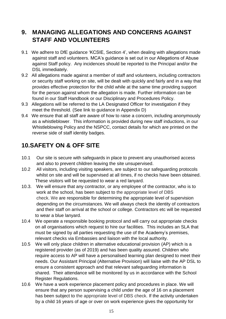# **9. MANAGING ALLEGATIONS AND CONCERNS AGAINST STAFF AND VOLUNTEERS**

- 9.1 We adhere to DfE guidance 'KCSIE, Section 4', when dealing with allegations made against staff and volunteers. MCA's guidance is set out in our Allegations of Abuse against Staff policy. Any incidences should be reported to the Principal and/or the DSL immediately.
- 9.2 All allegations made against a member of staff and volunteers, including contractors or security staff working on site, will be dealt with quickly and fairly and in a way that provides effective protection for the child while at the same time providing support for the person against whom the allegation is made. Further information can be found in our Staff Handbook or our Disciplinary and Procedures Policy.
- 9.3 Allegations will be referred to the LA Designated Officer for investigation if they meet the threshold. (See link to guidance in Appendix D)
- 9.4 We ensure that all staff are aware of how to raise a concern, including anonymously as a whistleblower. This information is provided during new staff inductions, in our Whistleblowing Policy and the NSPCC, contact details for which are printed on the reverse side of staff identity badges.

# **10.SAFETY ON & OFF SITE**

- 10.1 Our site is secure with safeguards in place to prevent any unauthorised access and also to prevent children leaving the site unsupervised.
- 10.2 All visitors, including visiting speakers, are subject to our safeguarding protocols whilst on site and will be supervised at all times, if no checks have been obtained. These visitors will be requested to wear a red lanyard.
- 10.3. We will ensure that any contractor, or any employee of the contractor, who is to work at the school, has been subject to the appropriate level of DBS check. We are responsible for determining the appropriate level of supervision depending on the circumstances. We will always check the identity of contractors and their staff on arrival at the school or college. Contractors etc will be requested to wear a blue lanyard.
- 10.4 We operate a responsible booking protocol and will carry out appropriate checks on all organisations which request to hire our facilities. This includes an SLA that must be signed by all parties requesting the use of the Academy's premises, relevant checks via Embassies and liaison with the local authority.
- 10.5 We will only place children in alternative educational provision (AP) which is a registered provider (as of 2019) and has been quality assured. Children who require access to AP will have a personalised learning plan designed to meet their needs. Our Assistant Principal (Alternative Provision) will liaise with the AP DSL to ensure a consistent approach and that relevant safeguarding information is shared. Their attendance will be monitored by us in accordance with the School Register Regulations.
- 10.6 We have a work experience placement policy and procedures in place. We will ensure that any person supervising a child under the age of 16 on a placement has been subject to the appropriate level of DBS check. If the activity undertaken by a child 16 years of age or over on work experience gives the opportunity for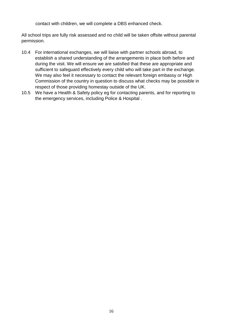contact with children, we will complete a DBS enhanced check.

All school trips are fully risk assessed and no child will be taken offsite without parental permission.

- 10.4 For international exchanges, we will liaise with partner schools abroad, to establish a shared understanding of the arrangements in place both before and during the visit. We will ensure we are satisfied that these are appropriate and sufficient to safeguard effectively every child who will take part in the exchange. We may also feel it necessary to contact the relevant foreign embassy or High Commission of the country in question to discuss what checks may be possible in respect of those providing homestay outside of the UK.
- 10.5 We have a Health & Safety policy eg for contacting parents, and for reporting to the emergency services, including Police & Hospital .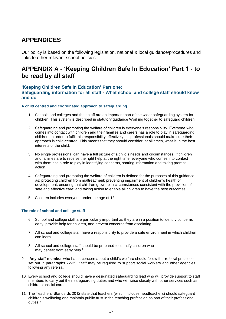## **APPENDICES**

Our policy is based on the following legislation, national & local guidance/procedures and links to other relevant school policies

### **APPENDIX A - 'Keeping Children Safe In Education' Part 1 - to be read by all staff**

#### **'Keeping Children Safe in Education' Part one:**

**Safeguarding information for all staff - What school and college staff should know and do**

#### **A child centred and coordinated approach to safeguarding**

- 1. Schools and colleges and their staff are an important part of the wider safeguarding system for children. This system is described in statutory guidance [Working](https://www.gov.uk/government/publications/working-together-to-safeguard-children--2) [together to safeguard children.](https://www.gov.uk/government/publications/working-together-to-safeguard-children--2)
- 2. Safeguarding and promoting the welfare of children is everyone's responsibility. Everyone who comes into contact with children and their families and carers has a role to play in safeguarding children. In order to fulfil this responsibility effectively, all professionals should make sure their approach is child-centred. This means that they should consider, at all times, what is in the best interests of the child.
- 3. No single professional can have a full picture of a child's needs and circumstances. If children and families are to receive the right help at the right time, everyone who comes into contact with them has a role to play in identifying concerns, sharing information and taking prompt action.
- 4. Safeguarding and promoting the welfare of children is defined for the purposes of this guidance as: protecting children from maltreatment; preventing impairment of children's health or development; ensuring that children grow up in circumstances consistent with the provision of safe and effective care; and taking action to enable all children to have the best outcomes.
- 5. Children includes everyone under the age of 18.

#### **The role of school and college staff**

- 6. School and college staff are particularly important as they are in a position to identify concerns early, provide help for children, and prevent concerns from escalating.
- 7. **All** school and college staff have a responsibility to provide a safe environment in which children can learn.
- 8. **All** school and college staff should be prepared to identify children who may benefit from early help.<sup>2</sup>
- 9. **Any staff member** who has a concern about a child's welfare should follow the referral processes set out in paragraphs 22-35. Staff may be required to support social workers and other agencies following any referral.
- 10. Every school and college should have a designated safeguarding lead who will provide support to staff members to carry out their safeguarding duties and who will liaise closely with other services such as children's social care.
- 11. The Teachers' Standards 2012 state that teachers (which includes headteachers) should safeguard children's wellbeing and maintain public trust in the teaching profession as part of their professional duties.3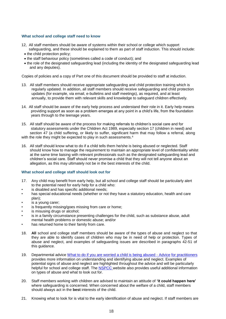#### **What school and college staff need to know**

- 12, All staff members should be aware of systems within their school or college which support safeguarding, and these should be explained to them as part of staff induction. This should include:
	- the child protection policy;
	- the staff behaviour policy (sometimes called a code of conduct); and
	- the role of the designated safeguarding lead (including the identity of the designated safeguarding lead and any deputies).

Copies of policies and a copy of Part one of this document should be provided to staff at induction.

- 13. All staff members should receive appropriate safeguarding and child protection training which is regularly updated. In addition, all staff members should receive safeguarding and child protection updates (for example, via email, e-bulletins and staff meetings), as required, and at least annually, to provide them with relevant skills and knowledge to safeguard children effectively.
- 14. All staff should be aware of the early help process and understand their role in it. Early help means providing support as soon as a problem emerges at any point in a child's life, from the foundation years through to the teenage years.
- 15. All staff should be aware of the process for making referrals to children's social care and for statutory assessments under the Children Act 1989, especially section 17 (children in need) and section 47 (a child suffering, or likely to suffer, significant harm that may follow a referral, along with the role they might be expected to play in such assessments.<sup>4</sup>

16. All staff should know what to do if a child tells them he/she is being abused or neglected. Staff should know how to manage the requirement to maintain an appropriate level of confidentiality whilst at the same time liaising with relevant professionals such as the designated safeguarding lead and children's social care. Staff should never promise a child that they will not tell anyone about an allegation, as this may ultimately not be in the best interests of the child.

#### **What school and college staff should look out for**

- 17. Any child may benefit from early help, but all school and college staff should be particularly alert to the potential need for early help for a child who:
- is disabled and has specific additional needs;
- has special educational needs (whether or not they have a statutory education, health and care plan);
- is a young carer;
- is frequently missing/goes missing from care or home;
- is misusing drugs or alcohol:
- is in a family circumstance presenting challenges for the child, such as substance abuse, adult mental health problems or domestic abuse; and/or
- has returned home to their family from care.
- 18. **All** school and college staff members should be aware of the types of abuse and neglect so that they are able to identify cases of children who may be in need of help or protection. Types of abuse and neglect, and examples of safeguarding issues are described in paragraphs 42-51 of this guidance.
- 19. Departmental advice [What to do if you are worried a child is being abused -](https://www.gov.uk/government/publications/what-to-do-if-youre-worried-a-child-is-being-abused--2) Advice [for practitioners](https://www.gov.uk/government/publications/what-to-do-if-youre-worried-a-child-is-being-abused--2) provides more information on understanding and identifying abuse and neglect. Examples of potential signs of abuse and neglect are highlighted throughout the advice and will be particularly helpful for school and college staff. The [NSPCC](https://www.nspcc.org.uk/preventing-abuse/child-abuse-and-neglect/) website also provides useful additional information on types of abuse and what to look out for.
- 20. Staff members working with children are advised to maintain an attitude of **'it could happen here'**  where safeguarding is concerned. When concerned about the welfare of a child, staff members should always act in the **best** interests of the child.
- 21. Knowing what to look for is vital to the early identification of abuse and neglect. If staff members are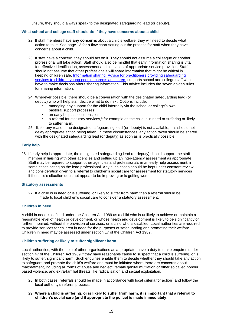unsure, they should always speak to the designated safeguarding lead (or deputy).

#### **What school and college staff should do if they have concerns about a child**

- 22. If staff members have **any concerns** about a child's welfare, they will need to decide what action to take. See page 13 for a flow chart setting out the process for staff when they have concerns about a child.
- 23. If staff have a concern, they should act on it. They should not assume a colleague or another professional will take action. Staff should also be mindful that early information sharing is vital for effective identification, assessment and allocation of appropriate service provision. Staff should not assume that other professionals will share information that might be critical in keeping children safe. [Information sharing: Advice for practitioners](https://www.gov.uk/government/publications/safeguarding-practitioners-information-sharing-advice) [providing safeguarding](https://www.gov.uk/government/publications/safeguarding-practitioners-information-sharing-advice)  [services to children, young people, parents and carers](https://www.gov.uk/government/publications/safeguarding-practitioners-information-sharing-advice) supports school and college staff who have to make decisions about sharing information. This advice includes the seven golden rules for sharing information.
- 24. Wherever possible, there should be a conversation with the designated safeguarding lead (or deputy) who will help staff decide what to do next. Options include:
	- managing any support for the child internally via the school or college's own pastoral support processes;
	- an early help assessment:<sup>5</sup> or
	- a referral for statutory services, $6$  for example as the child is in need or suffering or likely to suffer harm.
- 25. If, for any reason, the designated safeguarding lead (or deputy) is not available, this should not delay appropriate action being taken. In these circumstances, any action taken should be shared with the designated safeguarding lead (or deputy) as soon as is practically possible.

#### **Early help**

26. If early help is appropriate, the designated safeguarding lead (or deputy) should support the staff member in liaising with other agencies and setting up an inter-agency assessment as appropriate. Staff may be required to support other agencies and professionals in an early help assessment, in some cases acting as the lead professional. Any such cases should be kept under constant review and consideration given to a referral to children's social care for assessment for statutory services if the child's situation does not appear to be improving or is getting worse.

#### **Statutory assessments**

27. If a child is in need or is suffering, or likely to suffer from harm then a referral should be made to local children's social care to consider a statutory assessment.

#### **Children in need**

A child in need is defined under the Children Act 1989 as a child who is unlikely to achieve or maintain a reasonable level of health or development, or whose health and development is likely to be significantly or further impaired, without the provision of services; or a child who is disabled. Local authorities are required to provide services for children in need for the purposes of safeguarding and promoting their welfare. Children in need may be assessed under section 17 of the Children Act 1989.

#### **Children suffering or likely to suffer significant harm**

Local authorities, with the help of other organisations as appropriate, have a duty to make enquires under section 47 of the Children Act 1989 if they have reasonable cause to suspect that a child is suffering, or is likely to suffer, significant harm. Such enquiries enable them to decide whether they should take any action to safeguard and promote the child's welfare and must be initiated where there are concerns about maltreatment, including all forms of abuse and neglect, female genital mutilation or other so called honour based violence, and extra-familial threats like radicalisation and sexual exploitation.

- 28. In both cases, referrals should be made in accordance with local criteria for action<sup>7</sup> and follow the local authority's referral process.
- 29. **Where a child is suffering, or is likely to suffer from harm, it is important that a referral to children's social care (and if appropriate the police) is made immediately**.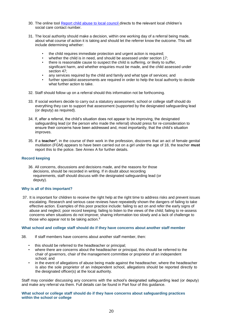- 30. The online tool [Report child abuse to local council](https://www.gov.uk/report-child-abuse-to-local-council) directs to the relevant local children's social care contact number
- 31. The local authority should make a decision, within one working day of a referral being made, about what course of action it is taking and should let the referrer know the outcome. This will include determining whether:
	- the child requires immediate protection and urgent action is required;
	- whether the child is in need, and should be assessed under section 17;
	- there is reasonable cause to suspect the child is suffering, or likely to suffer, significant harm, and whether enquiries must be made, and the child assessed under section 47;
	- any services required by the child and family and what type of services; and
	- further specialist assessments are required in order to help the local authority to decide what further action to take.
- 32. Staff should follow up on a referral should this information not be forthcoming.
- 33. If social workers decide to carry out a statutory assessment, school or college staff should do everything they can to support that assessment (supported by the designated safeguarding lead (or deputy) as required).
- 34. If, after a referral, the child's situation does not appear to be improving, the designated safeguarding lead (or the person who made the referral) should press for re-consideration to ensure their concerns have been addressed and, most importantly, that the child's situation improves.
- 35. If a **teacher**<sup>8</sup> , in the course of their work in the profession, discovers that an act of female genital mutilation (FGM) appears to have been carried out on a girl under the age of 18, the teacher **must** report this to the police. See Annex A for further details.

#### **Record keeping**

36. All concerns, discussions and decisions made, and the reasons for those decisions, should be recorded in writing. If in doubt about recording requirements, staff should discuss with the designated safeguarding lead (or deputy).

#### **Why is all of this important?**

37. It is important for children to receive the right help at the right time to address risks and prevent issues escalating. Research and serious case reviews have repeatedly shown the dangers of failing to take effective action. Examples of this poor practice include: failing to act on and refer the early signs of abuse and neglect; poor record keeping; failing to listen to the views of the child; failing to re-assess concerns when situations do not improve; sharing information too slowly and a lack of challenge to those who appear not to be taking action.<sup>[9](#page-22-0)</sup>

#### **What school and college staff should do if they have concerns about another staff member**

- 38. If staff members have concerns about another staff member, then:
	- this should be referred to the headteacher or principal;
	- where there are concerns about the headteacher or principal, this should be referred to the chair of governors, chair of the management committee or proprietor of an independent school; and
	- in the event of allegations of abuse being made against the headteacher, where the headteacher is also the sole proprietor of an independent school, allegations should be reported directly to the designated officer(s) at the local authority.

Staff may consider discussing any concerns with the school's designated safeguarding lead (or deputy) and make any referral via them. Full details can be found in Part four of this guidance.

**What school or college staff should do if they have concerns about safeguarding practices within the school or college**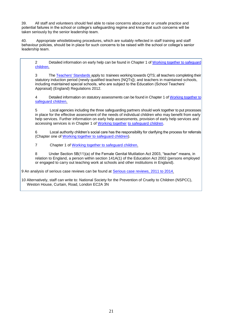39. All staff and volunteers should feel able to raise concerns about poor or unsafe practice and potential failures in the school or college's safeguarding regime and know that such concerns will be taken seriously by the senior leadership team.

40. Appropriate whistleblowing procedures, which are suitably reflected in staff training and staff behaviour policies, should be in place for such concerns to be raised with the school or college's senior leadership team.

2 Detailed information on early help can be found i[n Chapter 1 of Working together to safeguard](https://www.gov.uk/government/publications/working-together-to-safeguard-children--2)  [c](https://www.gov.uk/government/publications/working-together-to-safeguard-children--2)hildren.

3 [The Teache](https://www.gov.uk/government/publications/teachers-standards)rs' Standards apply to: trainees working towards QTS; all teachers completing their statutory induction period (newly qualified teachers [NQTs]); and teachers in maintained schools, including maintained special schools, who are subject to the Education (School Teachers' Appraisal) (England) Regulations 2012.

4 Detailed information on statutory assessments can be found in Chapter 1 of Working together to [safeguard c](https://www.gov.uk/government/publications/working-together-to-safeguard-children--2)hildren.

Local agencies including the three safeguarding partners should work together to put processes in place for the effective assessment of the needs of individual children who may benefit from early help services. Further information on early help assessments, provision of early help services and accessing services is in Cha[pter 1 of Working to](https://www.gov.uk/government/publications/working-together-to-safeguard-children--2)gether [to safeguard c](https://www.gov.uk/government/publications/working-together-to-safeguard-children--2)hildren.

6 Local authority children's social care has the responsibility for clarifying the process for referrals (Chapt[er one of Working together to safeguard c](https://www.gov.uk/government/publications/working-together-to-safeguard-children--2)hildren).

7 [Chapter 1 of Working together to safeg](https://www.gov.uk/government/publications/working-together-to-safeguard-children--2)uard children.

8 Under Section 5B(11)(a) of the Female Genital Mutilation Act 2003, "teacher" means, in relation to England, a person within section 141A(1) of the Education Act 2002 (persons employed or engaged to carry out teaching work at schools and other institutions in England).

9 An analysis of serious case reviews can be found at [Serious case reviews, 2011 to 2014.](https://www.gov.uk/government/publications/analysis-of-serious-case-reviews-2011-to-2014)

10 Alternatively, staff can write to: National Society for the Prevention of Cruelty to Children (NSPCC), Weston House, Curtain, Road, London EC2A 3N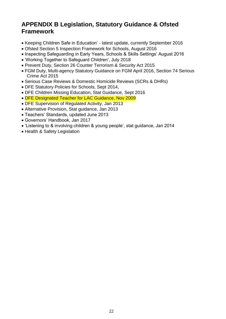## **APPENDIX B Legislation, Statutory Guidance & Ofsted Framework**

- Keeping Children Safe in Education' latest update, currently September 2016
- Ofsted Section 5 Inspection Framework for Schools, August 2016
- Inspecting Safeguarding in Early Years, Schools & Skills Settings' August 2016
- 'Working Together to Safeguard Children', July 2018
- Prevent Duty, Section 26 Counter Terrorism & Security Act 2015
- FGM Duty, Multi-agency Statutory Guidance on FGM April 2016, Section 74 Serious Crime Act 2015
- Serious Case Reviews & Domestic Homicide Reviews (SCRs & DHRs)
- DFE Statutory Policies for Schools, Sept 2014,
- DFE Children Missing Education, Stat Guidance, Sept 2016
- DFE Designated Teacher for LAC Guidance, Nov 2009
- DFE Supervision of Regulated Activity, Jan 2013
- Alternative Provision, Stat guidance, Jan 2013
- Teachers' Standards, updated June 2013
- Governors' Handbook, Jan 2017
- 'Listening to & involving children & young people', stat guidance, Jan 2014
- Health & Safety Legislation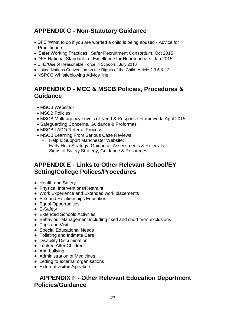## <span id="page-22-0"></span>**APPENDIX C - Non-Statutory Guidance**

- DFE 'What to do if you are worried a child is being abused Advice for Practitioners['](https://www.gov.uk/government/publications/what-to-do-if-youre-worried-a-child-is-being-abused--2)
- 'Safer Working Practices', Safer Recruitment Consortium, Oct 2015
- DFE National Standards of Excellence for Headteachers, Jan 2015
- DFE 'Use of Reasonable Force in Schools', July 2013
- United Nations Convention on the Rights of the Child, Article 2,3 6 & 12
- NSPCC Whistleblowing Advice line

### **APPENDIX D - MCC & MSCB Policies, Procedures & Guidance**

- MSCB Website:-
- MSCB Policies
- MSCB Multi-agency Levels of Need & Response Framework, April 2015
- Safeguarding Concerns, Guidance & Proformas
- MSCB LADO Referral Process
- MSCB Learning From Serious Case Reviews
	- Help & Support Manchester Website:
	- Early Help Strategy, Guidance, Assessments & Referrals
	- Signs of Safety Strategy, Guidance & Resources

### **APPENDIX E - Links to Other Relevant School/EY Setting/College Polices/Procedures**

- Health and Safety
- Physical Interventions/Restraint
- Work Experience and Extended work placements
- Sex and Relationships Education
- Equal Opportunities
- E-Safety
- Extended Schools Activities
- Behaviour Management including fixed and short term exclusions
- Trips and Visit
- Special Educational Needs
- Toileting and Intimate Care
- Disability Discrimination
- Looked After Children
- Anti-bullying
- Administration of Medicines
- Letting to external organisations
- External visitors/speakers

### **APPENDIX F - Other Relevant Education Department Policies/Guidance**